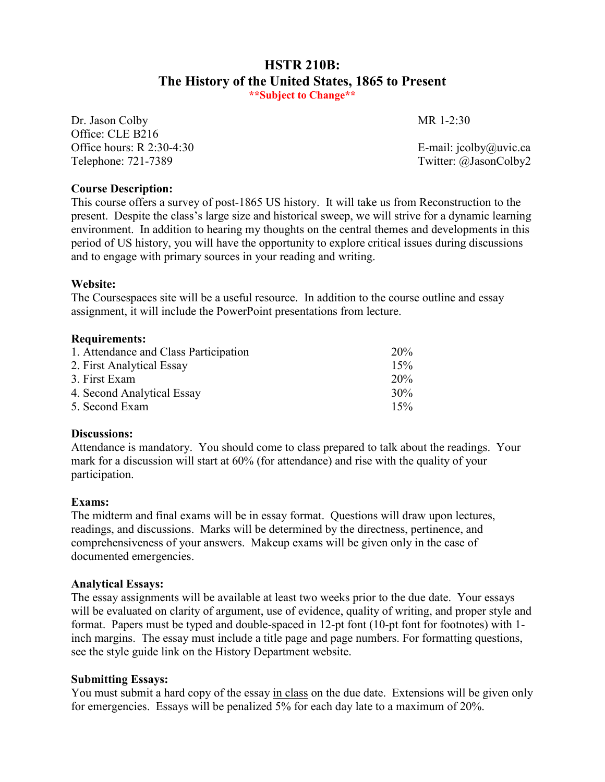# **HSTR 210B: The History of the United States, 1865 to Present \*\*Subject to Change\*\***

Dr. Jason Colby MR 1-2:30 Office: CLE B216 Office hours: R 2:30-4:30  $E$ -mail: jcolby@uvic.ca Telephone: 721-7389 Twitter: @JasonColby2

### **Course Description:**

This course offers a survey of post-1865 US history. It will take us from Reconstruction to the present. Despite the class's large size and historical sweep, we will strive for a dynamic learning environment. In addition to hearing my thoughts on the central themes and developments in this period of US history, you will have the opportunity to explore critical issues during discussions and to engage with primary sources in your reading and writing.

#### **Website:**

The Coursespaces site will be a useful resource. In addition to the course outline and essay assignment, it will include the PowerPoint presentations from lecture.

#### **Requirements:**

| 1. Attendance and Class Participation | $20\%$ |
|---------------------------------------|--------|
| 2. First Analytical Essay             | 15%    |
| 3. First Exam                         | 20%    |
| 4. Second Analytical Essay            | $30\%$ |
| 5. Second Exam                        | 15%    |

#### **Discussions:**

Attendance is mandatory. You should come to class prepared to talk about the readings. Your mark for a discussion will start at 60% (for attendance) and rise with the quality of your participation.

#### **Exams:**

The midterm and final exams will be in essay format. Questions will draw upon lectures, readings, and discussions. Marks will be determined by the directness, pertinence, and comprehensiveness of your answers. Makeup exams will be given only in the case of documented emergencies.

#### **Analytical Essays:**

The essay assignments will be available at least two weeks prior to the due date. Your essays will be evaluated on clarity of argument, use of evidence, quality of writing, and proper style and format. Papers must be typed and double-spaced in 12-pt font (10-pt font for footnotes) with 1 inch margins. The essay must include a title page and page numbers. For formatting questions, see the style guide link on the History Department website.

## **Submitting Essays:**

You must submit a hard copy of the essay in class on the due date. Extensions will be given only for emergencies. Essays will be penalized 5% for each day late to a maximum of 20%.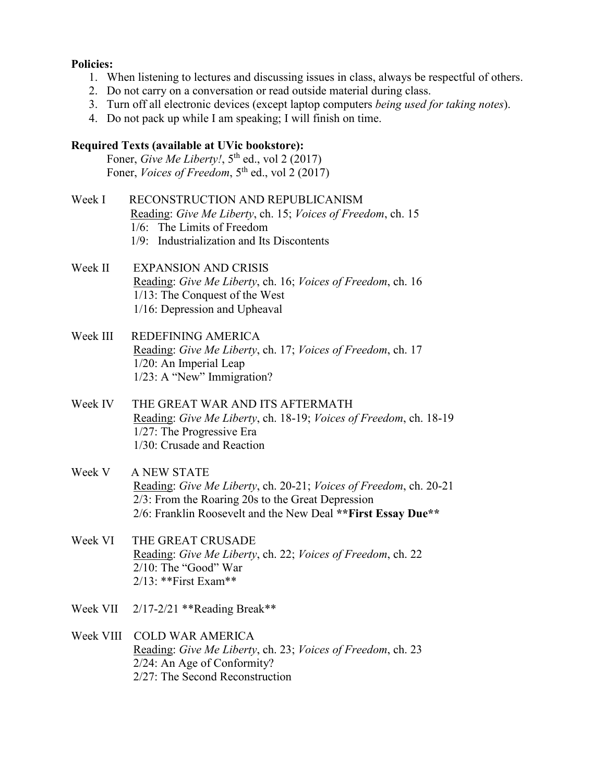#### **Policies:**

- 1. When listening to lectures and discussing issues in class, always be respectful of others.
- 2. Do not carry on a conversation or read outside material during class.
- 3. Turn off all electronic devices (except laptop computers *being used for taking notes*).
- 4. Do not pack up while I am speaking; I will finish on time.

#### **Required Texts (available at UVic bookstore):**

Foner, *Give Me Liberty!*,  $5<sup>th</sup>$  ed., vol 2 (2017) Foner, *Voices of Freedom*, 5<sup>th</sup> ed., vol 2 (2017)

- Week I RECONSTRUCTION AND REPUBLICANISM Reading: *Give Me Liberty*, ch. 15; *Voices of Freedom*, ch. 15 1/6: The Limits of Freedom 1/9: Industrialization and Its Discontents
- Week II EXPANSION AND CRISIS Reading: *Give Me Liberty*, ch. 16; *Voices of Freedom*, ch. 16 1/13: The Conquest of the West 1/16: Depression and Upheaval
- Week III REDEFINING AMERICA Reading: *Give Me Liberty*, ch. 17; *Voices of Freedom*, ch. 17 1/20: An Imperial Leap 1/23: A "New" Immigration?
- Week IV THE GREAT WAR AND ITS AFTERMATH Reading: *Give Me Liberty*, ch. 18-19; *Voices of Freedom*, ch. 18-19 1/27: The Progressive Era 1/30: Crusade and Reaction
- Week V A NEW STATE Reading: *Give Me Liberty*, ch. 20-21; *Voices of Freedom*, ch. 20-21 2/3: From the Roaring 20s to the Great Depression 2/6: Franklin Roosevelt and the New Deal **\*\*First Essay Due\*\***
- Week VI THE GREAT CRUSADE Reading: *Give Me Liberty*, ch. 22; *Voices of Freedom*, ch. 22 2/10: The "Good" War 2/13: \*\*First Exam\*\*
- Week VII 2/17-2/21 \*\*Reading Break\*\*

Week VIII COLD WAR AMERICA Reading: *Give Me Liberty*, ch. 23; *Voices of Freedom*, ch. 23 2/24: An Age of Conformity? 2/27: The Second Reconstruction